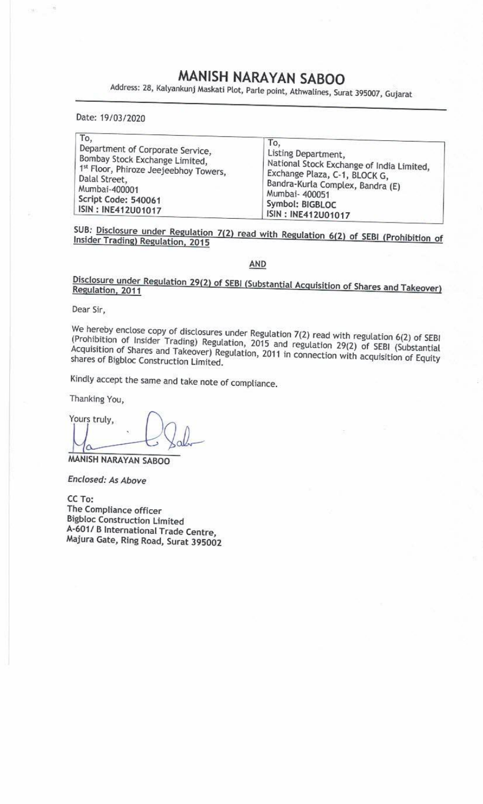## MANISH NARAYAN SABOO

MANISH NAR<br>Address: 28, Kalyankunj Maskati Plot, Parl Address: 28, Kalyankunj Maskati Plot, Parle point, Athwalines, Surat 395007, Gujarat

|                                                                                                                    | MANISH NARAYAN SABOO<br>Address: 28, Kalyankunj Maskati Plot, Parle point, Athwalines, Surat 395007, Gujarat |
|--------------------------------------------------------------------------------------------------------------------|--------------------------------------------------------------------------------------------------------------|
|                                                                                                                    |                                                                                                              |
| Date: 19/03/2020                                                                                                   |                                                                                                              |
| To,<br>Department of Corporate Service,<br>Bombay Stock Exchange Limited,<br>1st Floor, Phiroze Jeejeebhoy Towers, | To,<br>Listing Department,<br>National Stock Exchange of India Limited,<br>Exchange Plaza, C-1, BLOCK G,     |

SUB: Disclosure under Regulation 7(2) read with Regulation 6(2) of SEBI (Prohibition of Insider Trading) Regulation, 2015

AND

Disclosure under Regulation 29(2) of SEBI (Substantial Acquisition of Shares and Takeover) Regulation, 2011

Dear Sir,

We hereby enclose copy of disclosures under Regulation 7(2) read with regulation 6(2) of SEBI (Prohibition of Insider Trading) Regulation, 2015 and regulation 29(2) of SEBI (Substantial Acquisition of Shares and Takeover)

Kindly accept the same and take note of compliance.

Thanking You,

Yours truly,  $\bigcup_{\alpha}$ 

MANISH NARAYAN SABOO

Enclosed: As Above

i NAKAYAN SABOO<br>Pd: As Above<br>mpliance officer<br>Construction Limited<br>B International Trade Centre,<br>Gate, Ring Road, Surat 395002 CC To: The Compliance officer Bigbloc Construction Limited 4-601/ B International Trade Centre, Majura Gate, Ring Road, Surat 395002